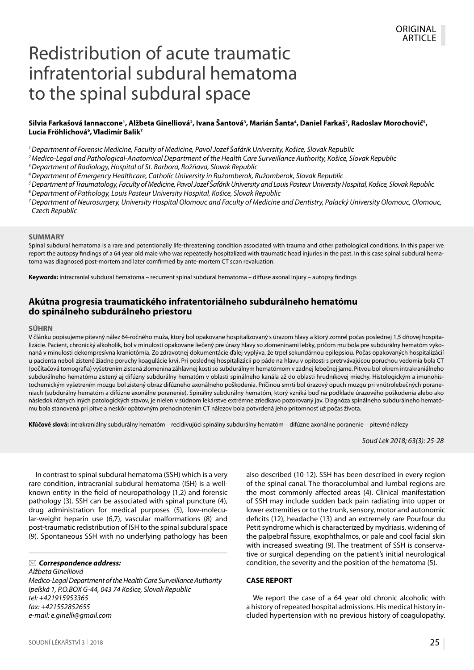# Redistribution of acute traumatic infratentorial subdural hematoma to the spinal subdural space

## Silvia Farkašová lannaccone', Alžbeta Ginelliová², Ivana Šantová², Marián Šanta<sup>4</sup>, Daniel Farkaš², Radoslav Morochovič<sup>s</sup>, **Lucia Fröhlichová6 , Vladimír Balik7**

*1 Department of Forensic Medicine, Faculty of Medicine, Pavol Jozef Šafárik University, Košice, Slovak Republic*

*2 Medico-Legal and Pathological-Anatomical Department of the Health Care Surveillance Authority, Košice, Slovak Republic*

*3 Department of Radiology, Hospital of St. Barbora, Rožňava, Slovak Republic*

*4 Department of Emergency Healthcare, Catholic University in Ružomberok, Ružomberok, Slovak Republic*

*5 Department of Traumatology, Faculty of Medicine, Pavol Jozef Šafárik University and Louis Pasteur University Hospital, Košice, Slovak Republic*

*6 Department of Pathology, Louis Pasteur University Hospital, Košice, Slovak Republic*

*7 Department of Neurosurgery, University Hospital Olomouc and Faculty of Medicine and Dentistry, Palacký University Olomouc, Olomouc, Czech Republic*

#### **SUMMARY**

Spinal subdural hematoma is a rare and potentionally life-threatening condition associated with trauma and other pathological conditions. In this paper we report the autopsy findings of a 64 year old male who was repeatedly hospitalized with traumatic head injuries in the past. In this case spinal subdural hematoma was diagnosed post-mortem and later comfirmed by ante-mortem CT scan revaluation.

**Keywords:** intracranial subdural hematoma – recurrent spinal subdural hematoma – diffuse axonal injury – autopsy findings

# **Akútna progresia traumatického infratentoriálneho subdurálneho hematómu do spinálneho subdurálneho priestoru**

#### **SÚHRN**

V článku popisujeme pitevný nález 64-ročného muža, ktorý bol opakovane hospitalizovaný s úrazom hlavy a ktorý zomrel počas poslednej 1,5 dňovej hospitalizácie. Pacient, chronický alkoholik, bol v minulosti opakovane liečený pre úrazy hlavy so zlomeninami lebky, pričom mu bola pre subdurálny hematóm vykonaná v minulosti dekompresívna kraniotómia. Zo zdravotnej dokumentácie ďalej vyplýva, že trpel sekundárnou epilepsiou. Počas opakovaných hospitalizácií u pacienta neboli zistené žiadne poruchy koagulácie krvi. Pri poslednej hospitalizácii po páde na hlavu v opitosti s pretrvávajúcou poruchou vedomia bola CT (počítačová tomografia) vyšetrením zistená zlomenina záhlavnej kosti so subdurálnym hematómom v zadnej lebečnej jame. Pitvou bol okrem intrakraniálneho subdurálneho hematómu zistený aj difúzny subdurálny hematóm v oblasti spinálneho kanála až do oblasti hrudníkovej miechy. Histologickým a imunohistochemickým vyšetrením mozgu bol zistený obraz difúzneho axonálneho poškodenia. Príčinou smrti bol úrazový opuch mozgu pri vnútrolebečných poraneniach (subdurálny hematóm a difúzne axonálne poranenie). Spinálny subdurálny hematóm, ktorý vzniká buď na podklade úrazového poškodenia alebo ako následok rôznych iných patologických stavov, je nielen v súdnom lekárstve extrémne zriedkavo pozorovaný jav. Diagnóza spinálneho subdurálneho hematómu bola stanovená pri pitve a neskôr opätovným prehodnotením CT nálezov bola potvrdená jeho prítomnosť už počas života.

**Kľúčové slová:** intrakraniálny subdurálny hematóm – recidivujúci spinálny subdurálny hematóm – difúzne axonálne poranenie – pitevné nálezy

*Soud Lek 2018; 63(3): 25-28*

In contrast to spinal subdural hematoma (SSH) which is a very rare condition, intracranial subdural hematoma (ISH) is a wellknown entity in the field of neuropathology (1,2) and forensic pathology (3). SSH can be associated with spinal puncture (4), drug administration for medical purposes (5), low-molecular-weight heparin use (6,7), vascular malformations (8) and post-traumatic redistribution of ISH to the spinal subdural space (9). Spontaneous SSH with no underlying pathology has been

*Correspondence address:*

*Alžbeta Ginelliová Medico-Legal Department of the Health Care Surveillance Authority Ipeľská 1, P.O.BOX G-44, 043 74 Košice, Slovak Republic tel: +421915953365 fax: +421552852655 e-mail: e.ginelli@gmail.com*

also described (10-12). SSH has been described in every region of the spinal canal. The thoracolumbal and lumbal regions are the most commonly affected areas (4). Clinical manifestation of SSH may include sudden back pain radiating into upper or lower extremities or to the trunk, sensory, motor and autonomic deficits (12), headache (13) and an extremely rare Pourfour du Petit syndrome which is characterized by mydriasis, widening of the palpebral fissure, exophthalmos, or pale and cool facial skin with increased sweating (9). The treatment of SSH is conservative or surgical depending on the patient's initial neurological condition, the severity and the position of the hematoma (5).

#### **CASE REPORT**

We report the case of a 64 year old chronic alcoholic with a history of repeated hospital admissions. His medical history included hypertension with no previous history of coagulopathy.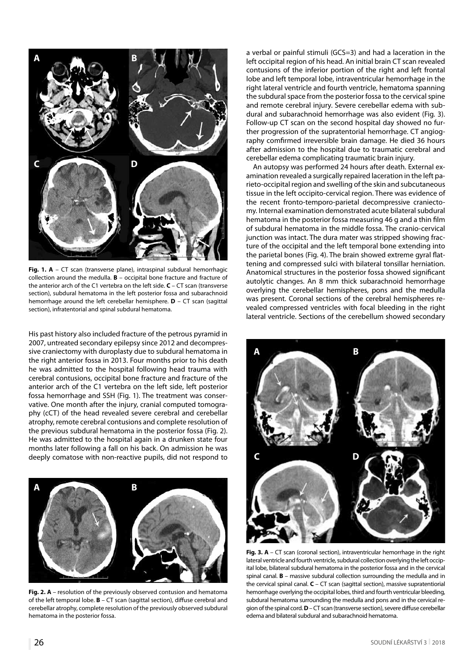

**Fig. 1. A** – CT scan (transverse plane), intraspinal subdural hemorrhagic collection around the medulla. **B** – occipital bone fracture and fracture of the anterior arch of the C1 vertebra on the left side. **C** – CT scan (transverse section), subdural hematoma in the left posterior fossa and subarachnoid hemorrhage around the left cerebellar hemisphere. **D** – CT scan (sagittal section), infratentorial and spinal subdural hematoma.

His past history also included fracture of the petrous pyramid in 2007, untreated secondary epilepsy since 2012 and decompressive craniectomy with duroplasty due to subdural hematoma in the right anterior fossa in 2013. Four months prior to his death he was admitted to the hospital following head trauma with cerebral contusions, occipital bone fracture and fracture of the anterior arch of the C1 vertebra on the left side, left posterior fossa hemorrhage and SSH (Fig. 1). The treatment was conservative. One month after the injury, cranial computed tomography (cCT) of the head revealed severe cerebral and cerebellar atrophy, remote cerebral contusions and complete resolution of the previous subdural hematoma in the posterior fossa (Fig. 2). He was admitted to the hospital again in a drunken state four months later following a fall on his back. On admission he was deeply comatose with non-reactive pupils, did not respond to



**Fig. 2. A** – resolution of the previously observed contusion and hematoma of the left temporal lobe. **B** – CT scan (sagittal section), diffuse cerebral and cerebellar atrophy, complete resolution of the previously observed subdural hematoma in the posterior fossa.

a verbal or painful stimuli (GCS=3) and had a laceration in the left occipital region of his head. An initial brain CT scan revealed contusions of the inferior portion of the right and left frontal lobe and left temporal lobe, intraventricular hemorrhage in the right lateral ventricle and fourth ventricle, hematoma spanning the subdural space from the posterior fossa to the cervical spine and remote cerebral injury. Severe cerebellar edema with subdural and subarachnoid hemorrhage was also evident (Fig. 3). Follow-up CT scan on the second hospital day showed no further progression of the supratentorial hemorrhage. CT angiography comfirmed irreversible brain damage. He died 36 hours after admission to the hospital due to traumatic cerebral and cerebellar edema complicating traumatic brain injury.

An autopsy was performed 24 hours after death. External examination revealed a surgically repaired laceration in the left parieto-occipital region and swelling of the skin and subcutaneous tissue in the left occipito-cervical region. There was evidence of the recent fronto-temporo-parietal decompressive craniectomy. Internal examination demonstrated acute bilateral subdural hematoma in the posterior fossa measuring 46 g and a thin film of subdural hematoma in the middle fossa. The cranio-cervical junction was intact. The dura mater was stripped showing fracture of the occipital and the left temporal bone extending into the parietal bones (Fig. 4). The brain showed extreme gyral flattening and compressed sulci with bilateral tonsillar herniation. Anatomical structures in the posterior fossa showed significant autolytic changes. An 8 mm thick subarachnoid hemorrhage overlying the cerebellar hemispheres, pons and the medulla was present. Coronal sections of the cerebral hemispheres revealed compressed ventricles with focal bleeding in the right lateral ventricle. Sections of the cerebellum showed secondary



**Fig. 3. A** – CT scan (coronal section), intraventricular hemorrhage in the right lateral ventricle and fourth ventricle, subdural collection overlying the left occipital lobe, bilateral subdural hematoma in the posterior fossa and in the cervical spinal canal. **B** – massive subdural collection surrounding the medulla and in the cervical spinal canal. **C** – CT scan (sagittal section), massive supratentiorial hemorrhage overlying the occipital lobes, third and fourth ventricular bleeding, subdural hematoma surrounding the medulla and pons and in the cervical region of the spinal cord. **D** – CT scan (transverse section), severe diffuse cerebellar edema and bilateral subdural and subarachnoid hematoma.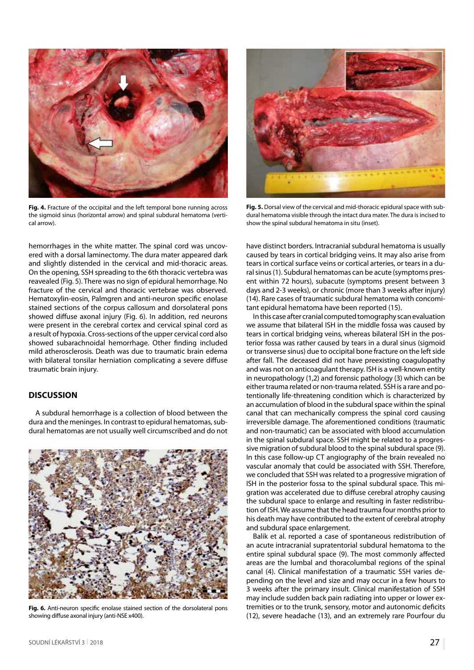

**Fig. 4.** Fracture of the occipital and the left temporal bone running across the sigmoid sinus (horizontal arrow) and spinal subdural hematoma (vertical arrow).

hemorrhages in the white matter. The spinal cord was uncovered with a dorsal laminectomy. The dura mater appeared dark and slightly distended in the cervical and mid-thoracic areas. On the opening, SSH spreading to the 6th thoracic vertebra was reavealed (Fig. 5). There was no sign of epidural hemorrhage. No fracture of the cervical and thoracic vertebrae was observed. Hematoxylin-eosin, Palmgren and anti-neuron specific enolase stained sections of the corpus callosum and dorsolateral pons showed diffuse axonal injury (Fig. 6). In addition, red neurons were present in the cerebral cortex and cervical spinal cord as a result of hypoxia. Cross-sections of the upper cervical cord also showed subarachnoidal hemorrhage. Other finding included mild atherosclerosis. Death was due to traumatic brain edema with bilateral tonsilar herniation complicating a severe diffuse traumatic brain injury.

### **DISCUSSION**

A subdural hemorrhage is a collection of blood between the dura and the meninges. In contrast to epidural hematomas, subdural hematomas are not usually well circumscribed and do not

**Fig. 6.** Anti-neuron specific enolase stained section of the dorsolateral pons showing diffuse axonal injury (anti-NSE x400).



**Fig. 5.** Dorsal view of the cervical and mid-thoracic epidural space with subdural hematoma visible through the intact dura mater. The dura is incised to show the spinal subdural hematoma in situ (inset).

have distinct borders. Intracranial subdural hematoma is usually caused by tears in cortical bridging veins. It may also arise from tears in cortical surface veins or cortical arteries, or tears in a dural sinus (1). Subdural hematomas can be acute (symptoms present within 72 hours), subacute (symptoms present between 3 days and 2-3 weeks), or chronic (more than 3 weeks after injury) (14). Rare cases of traumatic subdural hematoma with concomitant epidural hematoma have been reported (15).

In this case after cranial computed tomography scan evaluation we assume that bilateral ISH in the middle fossa was caused by tears in cortical bridging veins, whereas bilateral ISH in the posterior fossa was rather caused by tears in a dural sinus (sigmoid or transverse sinus) due to occipital bone fracture on the left side after fall. The deceased did not have preexisting coagulopathy and was not on anticoagulant therapy. ISH is a well-known entity in neuropathology (1,2) and forensic pathology (3) which can be either trauma related or non-trauma related. SSH is a rare and potentionally life-threatening condition which is characterized by an accumulation of blood in the subdural space within the spinal canal that can mechanically compress the spinal cord causing irreversible damage. The aforementioned conditions (traumatic and non-traumatic) can be associated with blood accumulation in the spinal subdural space. SSH might be related to a progressive migration of subdural blood to the spinal subdural space (9). In this case follow-up CT angiography of the brain revealed no vascular anomaly that could be associated with SSH. Therefore, we concluded that SSH was related to a progressive migration of ISH in the posterior fossa to the spinal subdural space. This migration was accelerated due to diffuse cerebral atrophy causing the subdural space to enlarge and resulting in faster redistribution of ISH. We assume that the head trauma four months prior to his death may have contributed to the extent of cerebral atrophy and subdural space enlargement.

Balik et al. reported a case of spontaneous redistribution of an acute intracranial supratentorial subdural hematoma to the entire spinal subdural space (9). The most commonly affected areas are the lumbal and thoracolumbal regions of the spinal canal (4). Clinical manifestation of a traumatic SSH varies depending on the level and size and may occur in a few hours to 3 weeks after the primary insult. Clinical manifestation of SSH may include sudden back pain radiating into upper or lower extremities or to the trunk, sensory, motor and autonomic deficits (12), severe headache (13), and an extremely rare Pourfour du